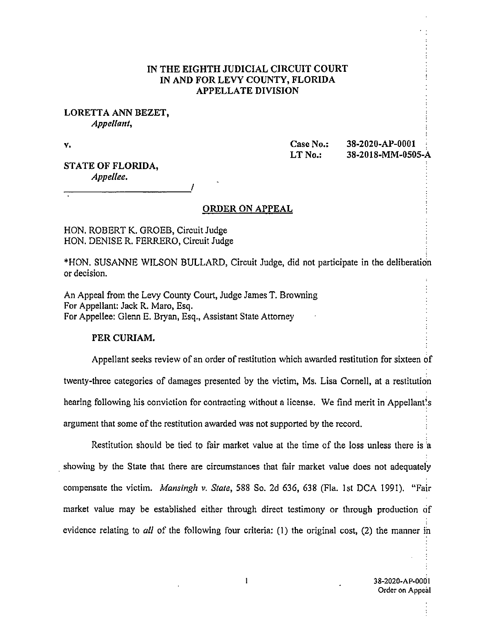## IN THE EIGHTH JUDICIAL CIRCUIT COURT IN AND FOR LEVY COUNTY, FLORIDA APPELLATE DIVISION

## LORETTA ANN BEZET, Appellant,

V.

Case No.: 38-2020-AP-0001 • LT No.: 38-2018-MM-0505-A

STATE OF FLORIDA, Appellee.

#### ORDER ON APPEAL

HON. ROBERT K. GROEB, Circuit Judge HON. DENISE R. FERRERO, Circuit Judge

\*HON. SUSANNE WILSON BULLARD, Circuit Judge, did not participate in the deliberation or decision.

An Appeal from the Levy County Court, Judge James T. Browning For Appellant: Jack R. Maro, Esq. For Appellee: Glenn E. Bryan, Esq., Assistant State Attorney

### PER CURIAM.

Appellant seeks review of an order of restitution which awarded restitution for sixteen of twenty-three categories of damages presented by the victim, Ms. Lisa Cornell, at a restitution hearing following his conviction for contracting without a license. We find merit in Appellant's argument that some of the restitution awarded was not supported by the record.

Restitution should be tied to fair market value at the time of the loss unless there is 'a showing by the State that there are circumstances that fair market value does not adequately compensate the victim. Mansingh v. State, 588 So. 2d 636, 638 (Fla. 1st DCA 1991). "Fair market value may be established either through direct testimony or through production of evidence relating to *all* of the following four criteria: (1) the original cost, (2) the manner in

 $\mathbf{1}$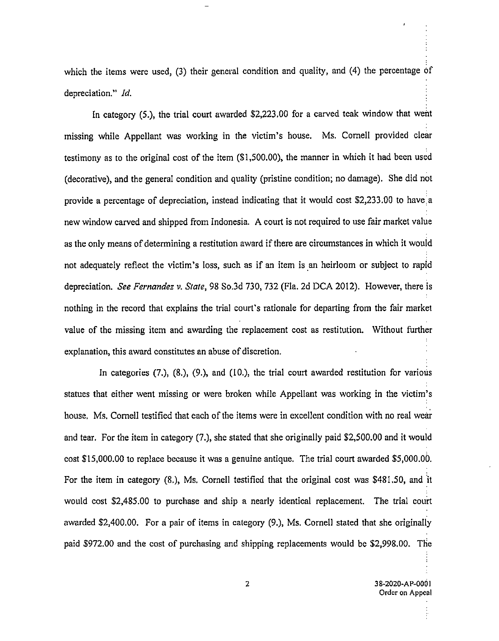which the items were used, (3) their general condition and quality, and (4) the percentage of depreciation." Id.

In category  $(5.)$ , the trial court awarded \$2,223,00 for a carved teak window that went missing while Appellant was working in the victim's house. Ms. Cornell provided clear testimony as to the original cost of the item (\$1,500.00), the manner in which it had been used (decorative), and the general condition and quality (pristine condition; no damage), She did not provide a percentage of depreciation, instead indicating that it would cost \$2,233.00 to have a new window carved and shipped from Indonesia. A court is not required to use fair market value as the only means of determining a restitution award if there are circumstances in which it would not adequately reflect the victim's loss, such as if an item is an heirloom or subject to rapid depreciation. See Fernandez v. State, 98 So.3d 730, 732 (Fla. 2d DCA 2012). However, there is nothing in the record that explains the trial court's rationale for departing from the fair market value of the missing item and awarding the replacement cost as restitution. Without further explanation, this award constitutes an abuse of discretion.

In categories  $(7, 8, 6)$ ,  $(9, 6)$ , and  $(10, 6)$ , the trial court awarded restitution for various statues that either went missing or were broken while Appellant was working in the victim's house. Ms. Cornell testified that each of the items were in excellent condition with no real wear and tear. For the item in category (7.), she stated that she originally paid \$2,500.00 and it would cost \$15,000.00 to replace because it was a genuine antique. The trial court awarded \$5,000.00. For the item in category (8.), Ms. Cornell testified that the original cost was \$481.50, and it would cost \$2,485.00 to purchase and ship a nearly identical replacement. The trial court awarded \$2,400.00. For a pair of items in category (9.), Ms. Cornell stated that she originally paid \$972.00 and the cost of purchasing and shipping replacements would be \$2,998.00. The

İ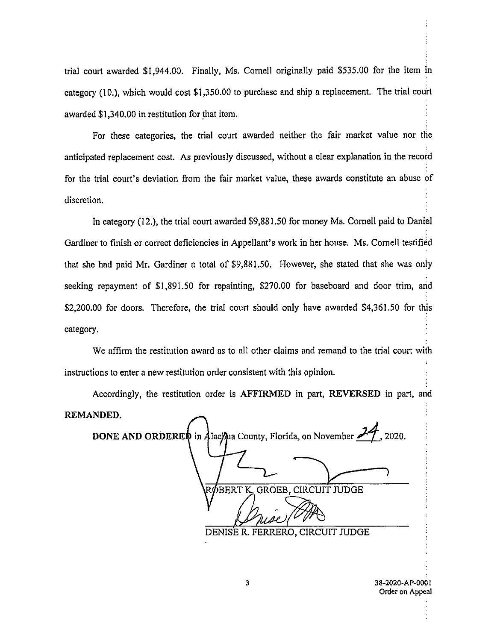trial court awarded \$1,944.00. Finally, Ms. Cornell originally paid \$535.00 for the item in category (10.), which would cost \$1,350.00 to purchase and ship a replacement. The trial court awarded \$1,340.00 in restitution for that item.

For these categories, the trial court awarded neither the fair market value nor the anticipated replacement cost. As previously discussed, without a clear explanation in the record for the trial court's deviation from the fair market value, these awards constitute an abuse of discretion.

In category (12.), the trial court awarded \$9,881.50 for money Ms. Cornell paid to Daniel Gardiner to finish or correct deficiencies in Appellant's work in her house. Ms. Cornell testified that she had paid Mr. Gardiner a total of \$9,881.50. However, she stated that she was only seeking repayment of \$1,891.50 for repainting, \$270.00 for baseboard and door trim, and \$2,200.00 for doors. Therefore, the trial court should only have awarded \$4,361.50 for this category.

We affirm the restitution award as to all other claims and remand to the trial court with instructions to enter a new restitution order consistent with this opinion.

Accordingly, the restitution order is AFFIRMED in part, REVERSED in part, and REMANDED.

DONE AND ORDERED in Alacmua County, Florida, on November  $\mathcal{A}$ , 2020. RØBERT K. GROEB, CIRCUIT JUDGE DENISE R. FERRERO, CIRCUIT JUDGE

3 38-2020-AP-0001 Order on Appeal